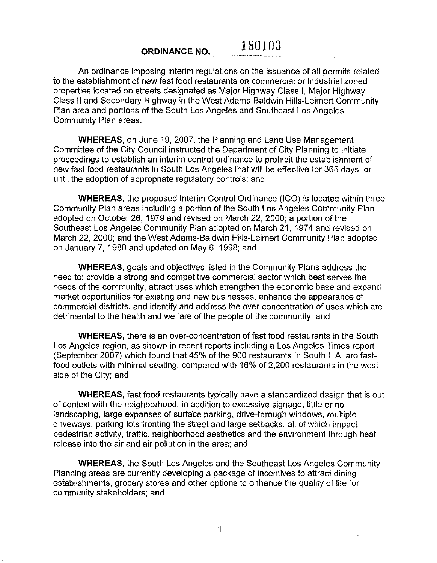## ORDINANCE NO. **180103**

**An** ordinance imposing interim regulations on the issuance of all permits related to the establishment of new fast food restaurants on commercial or industrial zoned properties located on streets designated as Major Highway Class I, Major Highway Class II and Secondary Highway in the West Adams-Baldwin Hills-Leimert Community Plan area and portions of the South Los Angeles and Southeast Los Angeles Community Plan areas.

**WHEREAS,** on June 19, 2007, the Planning and Land Use Management Committee of the City Council instructed the Department of City Planning to initiate proceedings to establish an interim control ordinance to prohibit the establishment of new fast food restaurants in South Los Angeles that will be effective for 365 days, or until the adoption of appropriate regulatory controls; and

**WHEREAS,** the proposed Interim Control Ordinance (ICO) is located within three Community Plan areas including a portion of the South Los Angeles Community Plan adopted on October 26, 1979 and revised on March 22, 2000; a portion of the Southeast Los Angeles Community Plan adopted on March 21, 1974 and revised on March 22, 2000; and the West Adams-Baldwin Hills-Leimert Community Plan adopted on January 7, 1980 and updated on May 6,1998; and

**WHEREAS,** goals and objectives listed in the Community Plans address the need to: provide a strong and competitive commercial sector which best serves the needs of the community, attract uses which strengthen the economic base and expand market opportunities for existing and new businesses, enhance the appearance of commercial districts, and identify and address the over-concentration of uses which are detrimental to the health and welfare of the people of the community; and

**WHEREAS,** there is an over-concentration of fast food restaurants in the South Los Angeles region, as shown in recent reports including a Los Angeles Times report (September 2007) which found that 45% of the 900 restaurants in South L.A. are fastfood outlets with minimal seating, compared with 16% of 2,200 restaurants in the west side of the City; and

**WHEREAS,** fast food restaurants typically have a standardized design that is out of context with the neighborhood, in addition to excessive signage, little or no landscaping, large expanses of surface parking, drive-through windows, multiple driveways, parking lots fronting the street and large setbacks, all of which impact pedestrian activity, traffic, neighborhood aesthetics and the environment through heat release into the air and air pollution in the area; and

**WHEREAS,** the South Los Angeles and the Southeast Los Angeles Community Planning areas are currently developing a package of incentives to attract dining establishments, grocery stores and other options to enhance the quality of life for community stakeholders; and

1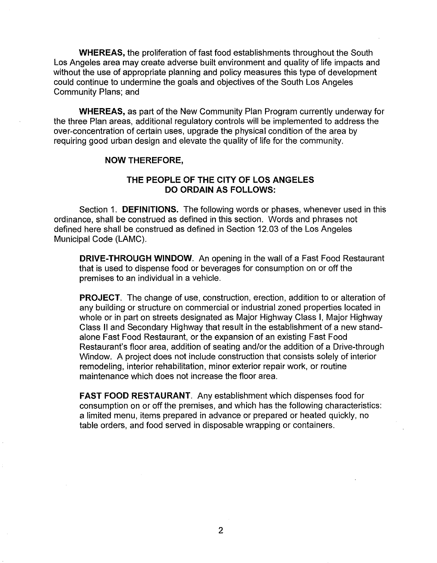**WHEREAS,** the proliferation of fast food establishments throughout the South Los Angeles area may create adverse built environment and quality of life impacts and without the use of appropriate planning and policy measures this type of development could continue to undermine the goals and objectives of the South Los Angeles Community Plans; and

**WHEREAS,** as part of the New Community Plan Program currently underway for the three Plan areas, additional regulatory controls will be implemented to address the over-concentration of certain uses, upgrade the physical condition of the area by requiring good urban design and elevate the quality of life for the community.

### **NOW THEREFORE,**

## **THE PEOPLE OF THE CITY OF LOS ANGELES DO ORDAIN AS FOLLOWS:**

Section 1. **DEFINITIONS.** The following words or phases, whenever used in this ordinance, shall be construed as defined in this section. Words and phrases not defined here shall be construed as defined in Section 12.03 of the Los Angeles Municipal Code (LAMC).

**DRIVE-THROUGH WINDOW.** An opening in the wall of a Fast Food Restaurant that is used to dispense food or beverages for consumption on or off the premises to an individual in a vehicle.

**PROJECT.** The change of use, construction, erection, addition to or alteration of any building or structure on commercial or industrial zoned properties located in whole or in part on streets designated as Major Highway Class I, Major Highway Class II and Secondary Highway that result in the establishment of a new standalone Fast Food Restaurant, or the expansion of an existing Fast Food Restaurant's floor area, addition of seating and/or the addition of a Drive-through Window. A project does not include construction that consists solely of interior remodeling, interior rehabilitation, minor exterior repair work, or routine maintenance which does not increase the floor area.

**FAST FOOD RESTAURANT. Any** establishment which dispenses food for consumption on or off the premises, and which has the following characteristics: a limited menu, items prepared in advance or prepared or heated quickly, no table orders, and food served in disposable wrapping or containers.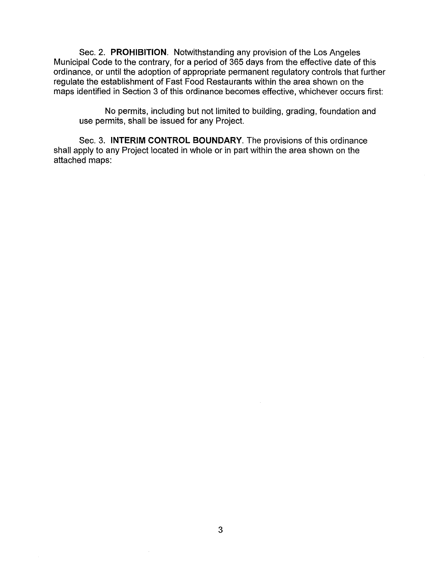Sec. 2. **PROHIBITION.** Notwithstanding any provision of the Los Angeles Municipal Code to the contrary, for a period of 365 days from the effective date of this ordinance, or until the adoption of appropriate permanent regulatory controls that further regulate the establishment of Fast Food Restaurants within the area shown on the maps identified in Section 3 of this ordinance becomes effective, whichever occurs first:

No permits, including but not limited to building, grading, foundation and use permits, shall be issued for any Project.

Sec. 3. **INTERIM CONTROL BOUNDARY.** The provisions of this ordinance shall apply to any Project located in whole or in part within the area shown on the attached maps: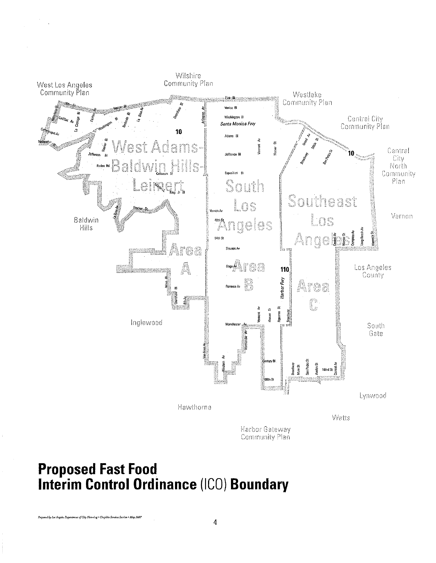

# **Proposed Fast Food**<br>Interim Control Ordinance (ICO) Boundary

d by Los Angeles Department of City Planning • Graphics Services Section • May 2007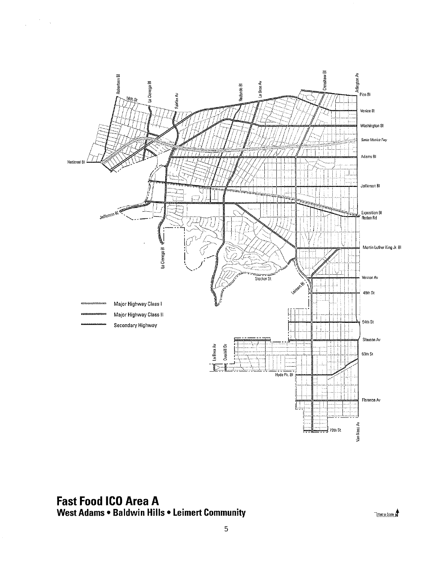

## **Fast Food ICO Area A** West Adams . Baldwin Hills . Leimert Community

 $\mathcal{O}(\frac{1}{2})$ 

 $\frac{1}{3}$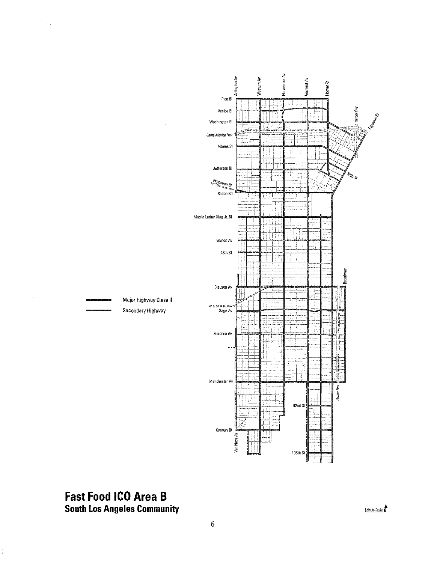

## **Fast Food ICO Area B South Los Angeles Community**

 $\label{eq:2} \frac{d\mathbf{r}}{d\mathbf{r}} = \frac{1}{2\pi}\left(\frac{d\mathbf{r}}{d\mathbf{r}}\right)^2.$ 

 $\bar{z}$ 

Not to Scale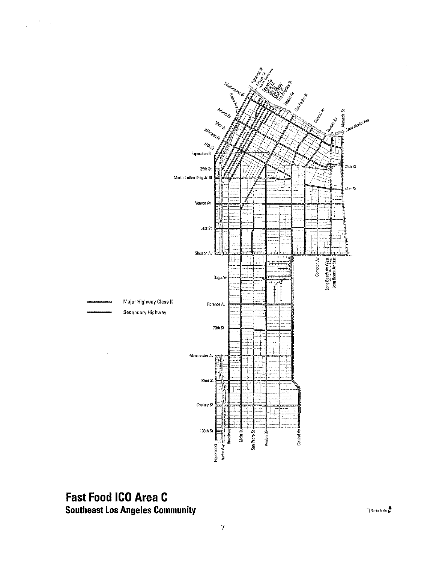



## **Fast Food ICO Area C Southeast Los Angeles Community**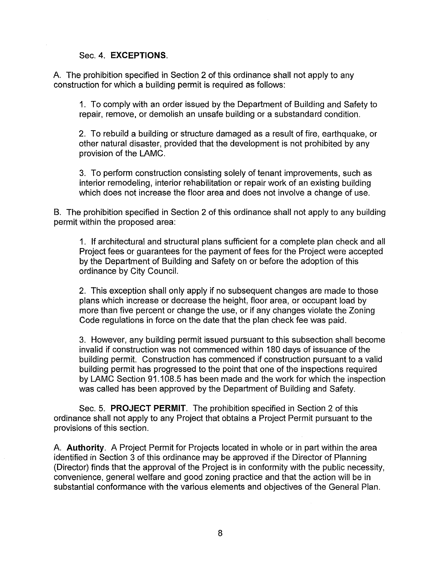### Sec. 4. **EXCEPTIONS.**

A. The prohibition specified in Section 2 of this ordinance shall not apply to any construction for which a building permit is required as follows:

1. To comply with an order issued by the Department of Building and Safety to repair, remove, or demolish an unsafe building or a substandard condition.

2. To rebuild a building or structure damaged as a result of fire, earthquake, or other natural disaster, provided that the development is not prohibited by any provision of the LAMC.

3. To perform construction consisting solely of tenant improvements, such as interior remodeling, interior rehabilitation or repair work of an existing building which does not increase the floor area and does not involve a change of use.

B. The prohibition specified in Section 2 of this ordinance shall not apply to any building permit within the proposed area:

1. If architectural and structural plans sufficient for a complete plan check and all Project fees or guarantees for the payment of fees for the Project were accepted by the Department of Building and Safety on or before the adoption of this ordinance by City Council.

2. This exception shall only apply if no subsequent changes are made to those plans which increase or decrease the height, floor area, or occupant load by more than five percent or change the use, or if any changes violate the Zoning Code regulations in force on the date that the plan check fee was paid.

3. However, any building permit issued pursuant to this subsection shall become invalid if construction was not commenced within 180 days of issuance of the building permit. Construction has commenced if construction pursuant to a valid building permit has progressed to the point that one of the inspections required by LAMC Section 91.108.5 has been made and the work for which the inspection was called has been approved by the Department of Building and Safety.

Sec. 5. **PROJECT PERMIT.** The prohibition specified in Section 2 of this ordinance shall not apply to any Project that obtains a Project Permit pursuant to the provisions of this section.

A. **Authority.** A Project Permit for Projects located in whole or in part within the area identified in Section 3 of this ordinance may be approved if the Director of Planning (Director) finds that the approval of the Project is in conformity with the public necessity, convenience, general welfare and good zoning practice and that the action will be in substantial conformance with the various elements and objectives of the General Plan.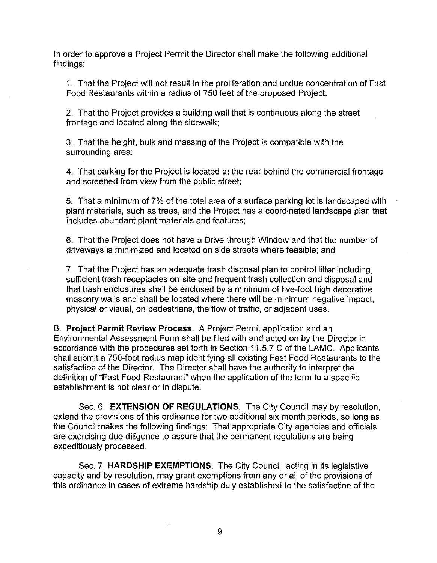In order to approve a Project Permit the Director shall make the following additional findings:

1. That the Project will not result in the proliferation and undue concentration of Fast Food Restaurants within a radius of 750 feet of the proposed Project;

2. That the Project provides a building wall that is continuous along the street frontage and located along the sidewalk;

3. That the height, bulk and massing of the Project is compatible with the surrounding area;

4. That parking for the Project is located at the rear behind the commercial frontage and screened from view from the public street;

5. That a minimum of 7% of the total area of a surface parking lot is landscaped with plant materials, such as trees, and the Project has a coordinated landscape plan that includes abundant plant materials and features;

6. That the Project does not have a Drive-through Window and that the number of driveways is minimized and located on side streets where feasible; and

7. That the Project has an adequate trash disposal plan to control litter including, sufficient trash receptacles on-site and frequent trash collection and disposal and that trash enclosures shall be enclosed by a minimum of five-foot high decorative masonry walls and shall be located where there will be minimum negative impact, physical or visual, on pedestrians, the flow of traffic, or adjacent uses.

B. **Project Permit Review Process.** A Project Permit application and an Environmental Assessment Form shall be filed with and acted on by the Director in accordance with the procedures set forth in Section 11.5.7 C of the LAMC. Applicants shall submit a 750-foot radius map identifying all existing Fast Food Restaurants to the satisfaction of the Director. The Director shall have the authority to interpret the definition of "Fast Food Restaurant" when the application of the term to a specific establishment is not clear or in dispute.

Sec. 6. **EXTENSION OF REGULATIONS.** The City Council may by resolution, extend the provisions of this ordinance for two additional six month periods, so long as the Council makes the following findings: That appropriate City agencies and officials are exercising due diligence to assure that the permanent regulations are being expeditiously processed.

Sec. 7. **HARDSHIP EXEMPTIONS.** The City Council, acting in its legislative capacity and by resolution, may grant exemptions from any or all of the provisions of this ordinance in cases of extreme hardship duly established to the satisfaction of the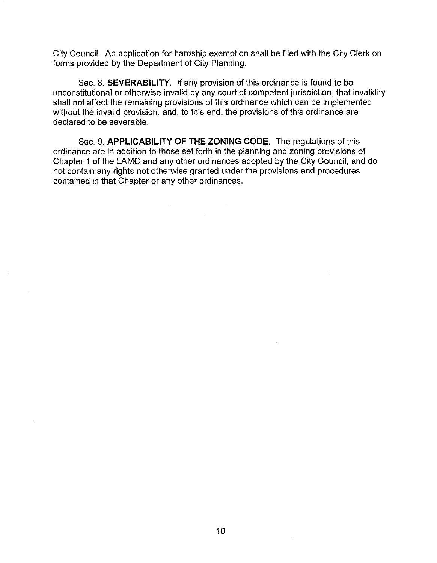City Council. An application for hardship exemption shall be filed with the City Clerk on forms provided by the Department of City Planning.

Sec. 8. **SEVERABILITY.** If any provision of this ordinance is found to be unconstitutional or otherwise invalid by any court of competent jurisdiction, that invalidity shall not affect the remaining provisions of this ordinance which can be implemented without the invalid provision, and, to this end, the provisions of this ordinance are declared to be severable.

Sec. 9. **APPLICABILITY OF THE ZONING** CODE. The regulations of this ordinance are in addition to those set forth in the planning and zoning provisions of Chapter 1 of the LAMC and any other ordinances adopted by the City Council, and do not contain any rights not otherwise granted under the provisions and procedures contained in that Chapter or any other ordinances.

 $\mathcal{L}_{\mathrm{L}}$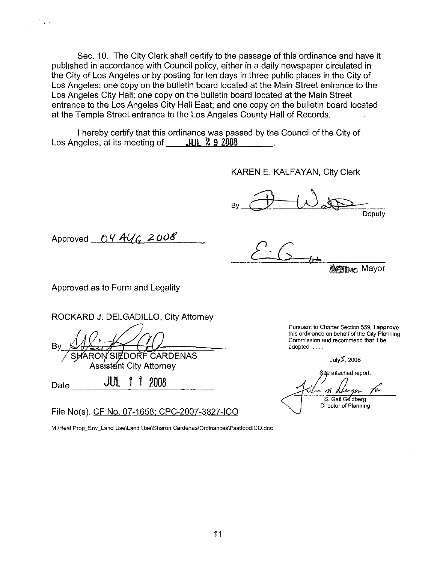Sec. 10. The City Clerk shall certify to the passage of this ordinance and have it published in accordance with Council policy, either in a daily newspaper circulated in the City of Los Angeles or by posting for ten days in three public places in the City of Los Angeles: one copy on the bulletin board located at the Main Street entrance to the Los Angeles City Hall; one copy on the bulletin board located at the Main Street entrance to the Los Angeles City Hall East; and one copy on the bulletin board located at the Temple Street entrance to the Los Angeles County Hall of Records.

I hereby certify that this ordinance was passed by the Council of the City of Los Angeles, at its meeting of **JUL 2 9 2008** 

KAREN E. KALFAYAN, City Clerk

 $By$   $\overline{\bigoplus_{\omega\in\mathbb{R}}\bigcup_{\omega\in\mathbb{R}}\omega_{\omega\in\mathbb{R}}}}$ Deputy

Approved *04 AU<sub>G</sub>* 2008

*£'G*

**AGTING** Mayor

Approved as to Form and Legality

ROCKARD J. DELGADILLO, City Attorney

By *SHARON* SIZDORF CARDENAS Assistant City Attorney

 $_{\text{Date}}$   $_{\text{JUL}}$  1 1  $_{\text{2008}}$ 

 $\mathcal{F}(\mathcal{F})$  .

File No(s), CF No. 07-1658; CPC-2007-3827-ICO

**M:\Real Prop\_Env\_Land Use\Land Use\Sharon Cardenas\Ordinances\FastfoodICQ,doc**

**Pursuant to Charter Section 559, I approve this ordinance on behalf of the City Planning Commission and recommend that it be** adopted .....

July\$,2008

See attached report. S. Gail Goldberg Director of Planning